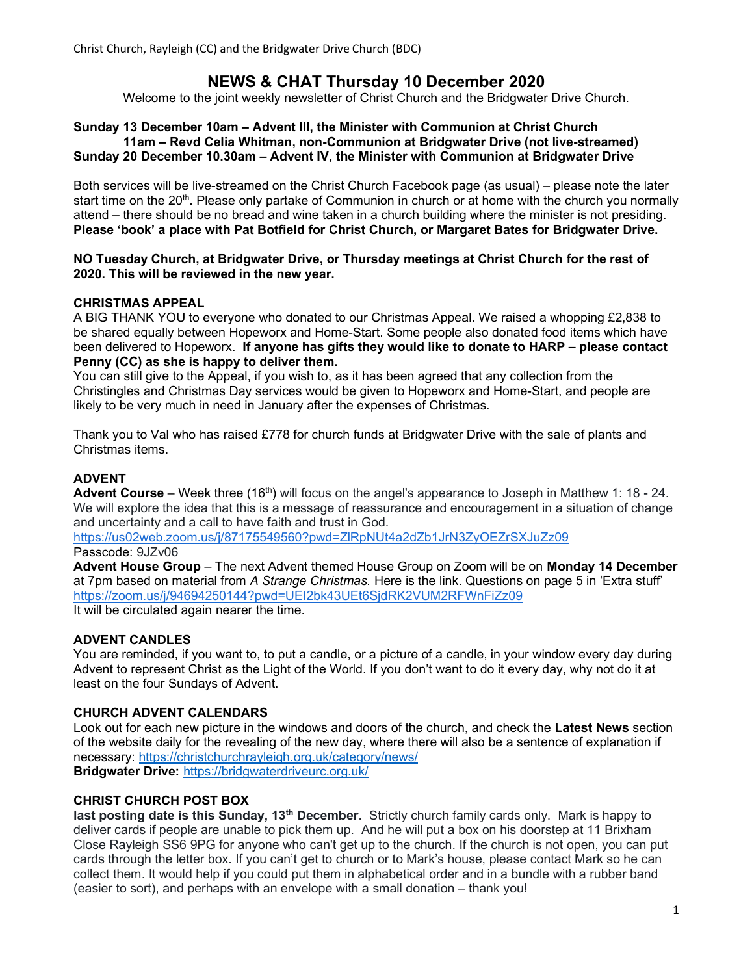# NEWS & CHAT Thursday 10 December 2020

Welcome to the joint weekly newsletter of Christ Church and the Bridgwater Drive Church.

#### Sunday 13 December 10am – Advent III, the Minister with Communion at Christ Church 11am – Revd Celia Whitman, non-Communion at Bridgwater Drive (not live-streamed) Sunday 20 December 10.30am – Advent IV, the Minister with Communion at Bridgwater Drive

Both services will be live-streamed on the Christ Church Facebook page (as usual) – please note the later start time on the 20<sup>th</sup>. Please only partake of Communion in church or at home with the church you normally attend – there should be no bread and wine taken in a church building where the minister is not presiding. Please 'book' a place with Pat Botfield for Christ Church, or Margaret Bates for Bridgwater Drive.

#### NO Tuesday Church, at Bridgwater Drive, or Thursday meetings at Christ Church for the rest of 2020. This will be reviewed in the new year.

# CHRISTMAS APPEAL

A BIG THANK YOU to everyone who donated to our Christmas Appeal. We raised a whopping £2,838 to be shared equally between Hopeworx and Home-Start. Some people also donated food items which have been delivered to Hopeworx. If anyone has gifts they would like to donate to HARP – please contact Penny (CC) as she is happy to deliver them.

You can still give to the Appeal, if you wish to, as it has been agreed that any collection from the Christingles and Christmas Day services would be given to Hopeworx and Home-Start, and people are likely to be very much in need in January after the expenses of Christmas.

Thank you to Val who has raised £778 for church funds at Bridgwater Drive with the sale of plants and Christmas items.

# ADVENT

**Advent Course** – Week three (16<sup>th</sup>) will focus on the angel's appearance to Joseph in Matthew 1: 18 - 24. We will explore the idea that this is a message of reassurance and encouragement in a situation of change and uncertainty and a call to have faith and trust in God.

https://us02web.zoom.us/j/87175549560?pwd=ZlRpNUt4a2dZb1JrN3ZyOEZrSXJuZz09 Passcode: 9JZv06

Advent House Group – The next Advent themed House Group on Zoom will be on Monday 14 December at 7pm based on material from A Strange Christmas. Here is the link. Questions on page 5 in 'Extra stuff' https://zoom.us/j/94694250144?pwd=UEI2bk43UEt6SjdRK2VUM2RFWnFiZz09 It will be circulated again nearer the time.

#### ADVENT CANDLES

You are reminded, if you want to, to put a candle, or a picture of a candle, in your window every day during Advent to represent Christ as the Light of the World. If you don't want to do it every day, why not do it at least on the four Sundays of Advent.

#### CHURCH ADVENT CALENDARS

Look out for each new picture in the windows and doors of the church, and check the Latest News section of the website daily for the revealing of the new day, where there will also be a sentence of explanation if necessary: https://christchurchrayleigh.org.uk/category/news/ Bridgwater Drive: https://bridgwaterdriveurc.org.uk/

## CHRIST CHURCH POST BOX

last posting date is this Sunday, 13<sup>th</sup> December. Strictly church family cards only. Mark is happy to deliver cards if people are unable to pick them up. And he will put a box on his doorstep at 11 Brixham Close Rayleigh SS6 9PG for anyone who can't get up to the church. If the church is not open, you can put cards through the letter box. If you can't get to church or to Mark's house, please contact Mark so he can collect them. It would help if you could put them in alphabetical order and in a bundle with a rubber band (easier to sort), and perhaps with an envelope with a small donation – thank you!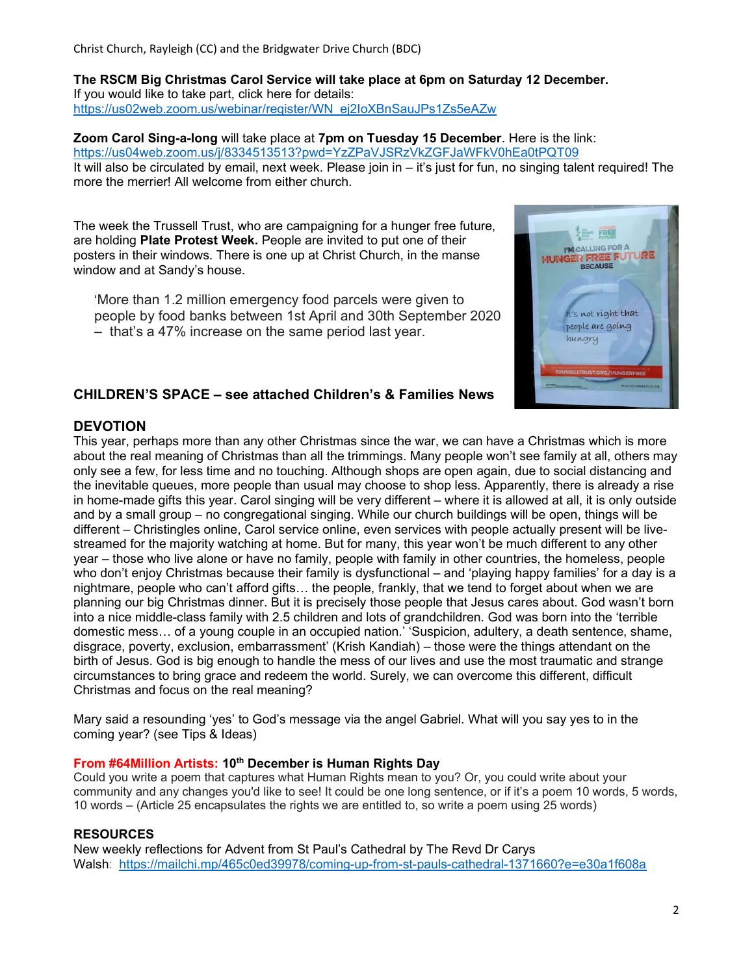Christ Church, Rayleigh (CC) and the Bridgwater Drive Church (BDC)

The RSCM Big Christmas Carol Service will take place at 6pm on Saturday 12 December. If you would like to take part, click here for details: https://us02web.zoom.us/webinar/register/WN\_ej2IoXBnSauJPs1Zs5eAZw

Zoom Carol Sing-a-long will take place at 7pm on Tuesday 15 December. Here is the link: https://us04web.zoom.us/j/8334513513?pwd=YzZPaVJSRzVkZGFJaWFkV0hEa0tPQT09 It will also be circulated by email, next week. Please join in – it's just for fun, no singing talent required! The more the merrier! All welcome from either church.

The week the Trussell Trust, who are campaigning for a hunger free future, are holding Plate Protest Week. People are invited to put one of their posters in their windows. There is one up at Christ Church, in the manse window and at Sandy's house.

'More than 1.2 million emergency food parcels were given to people by food banks between 1st April and 30th September 2020 – that's a 47% increase on the same period last year.



# CHILDREN'S SPACE – see attached Children's & Families News

# **DEVOTION**

This year, perhaps more than any other Christmas since the war, we can have a Christmas which is more about the real meaning of Christmas than all the trimmings. Many people won't see family at all, others may only see a few, for less time and no touching. Although shops are open again, due to social distancing and the inevitable queues, more people than usual may choose to shop less. Apparently, there is already a rise in home-made gifts this year. Carol singing will be very different – where it is allowed at all, it is only outside and by a small group – no congregational singing. While our church buildings will be open, things will be different – Christingles online, Carol service online, even services with people actually present will be livestreamed for the majority watching at home. But for many, this year won't be much different to any other year – those who live alone or have no family, people with family in other countries, the homeless, people who don't enjoy Christmas because their family is dysfunctional – and 'playing happy families' for a day is a nightmare, people who can't afford gifts… the people, frankly, that we tend to forget about when we are planning our big Christmas dinner. But it is precisely those people that Jesus cares about. God wasn't born into a nice middle-class family with 2.5 children and lots of grandchildren. God was born into the 'terrible domestic mess… of a young couple in an occupied nation.' 'Suspicion, adultery, a death sentence, shame, disgrace, poverty, exclusion, embarrassment' (Krish Kandiah) – those were the things attendant on the birth of Jesus. God is big enough to handle the mess of our lives and use the most traumatic and strange circumstances to bring grace and redeem the world. Surely, we can overcome this different, difficult Christmas and focus on the real meaning?

Mary said a resounding 'yes' to God's message via the angel Gabriel. What will you say yes to in the coming year? (see Tips & Ideas)

#### From #64Million Artists: 10<sup>th</sup> December is Human Rights Day

Could you write a poem that captures what Human Rights mean to you? Or, you could write about your community and any changes you'd like to see! It could be one long sentence, or if it's a poem 10 words, 5 words, 10 words – (Article 25 encapsulates the rights we are entitled to, so write a poem using 25 words)

#### **RESOURCES**

New weekly reflections for Advent from St Paul's Cathedral by The Revd Dr Carys Walsh: https://mailchi.mp/465c0ed39978/coming-up-from-st-pauls-cathedral-1371660?e=e30a1f608a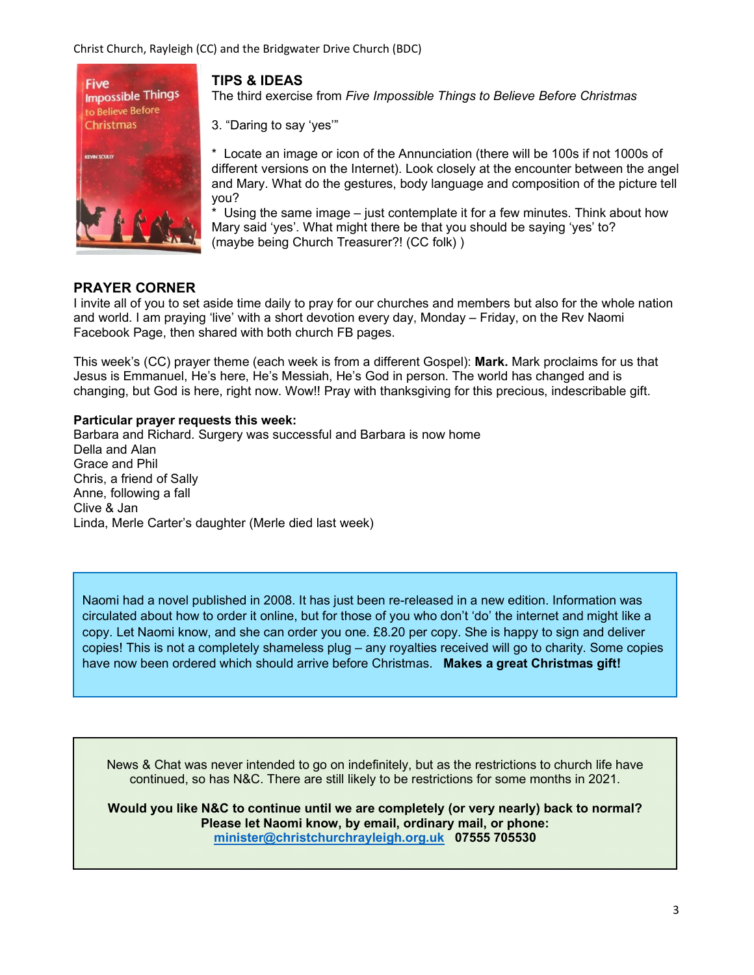Christ Church, Rayleigh (CC) and the Bridgwater Drive Church (BDC)



# TIPS & IDEAS

The third exercise from Five Impossible Things to Believe Before Christmas

3. "Daring to say 'yes'"

\* Locate an image or icon of the Annunciation (there will be 100s if not 1000s of different versions on the Internet). Look closely at the encounter between the angel and Mary. What do the gestures, body language and composition of the picture tell you?

 $*$  Using the same image – just contemplate it for a few minutes. Think about how Mary said 'yes'. What might there be that you should be saying 'yes' to? (maybe being Church Treasurer?! (CC folk) )

## PRAYER CORNER

I invite all of you to set aside time daily to pray for our churches and members but also for the whole nation and world. I am praying 'live' with a short devotion every day, Monday – Friday, on the Rev Naomi Facebook Page, then shared with both church FB pages.

This week's (CC) prayer theme (each week is from a different Gospel): **Mark.** Mark proclaims for us that Jesus is Emmanuel, He's here, He's Messiah, He's God in person. The world has changed and is changing, but God is here, right now. Wow!! Pray with thanksgiving for this precious, indescribable gift.

#### Particular prayer requests this week:

Barbara and Richard. Surgery was successful and Barbara is now home Della and Alan Grace and Phil Chris, a friend of Sally Anne, following a fall Clive & Jan Linda, Merle Carter's daughter (Merle died last week)

Naomi had a novel published in 2008. It has just been re-released in a new edition. Information was circulated about how to order it online, but for those of you who don't 'do' the internet and might like a copy. Let Naomi know, and she can order you one. £8.20 per copy. She is happy to sign and deliver copies! This is not a completely shameless plug – any royalties received will go to charity. Some copies have now been ordered which should arrive before Christmas. Makes a great Christmas gift!

News & Chat was never intended to go on indefinitely, but as the restrictions to church life have continued, so has N&C. There are still likely to be restrictions for some months in 2021.

Would you like N&C to continue until we are completely (or very nearly) back to normal? Please let Naomi know, by email, ordinary mail, or phone: minister@christchurchrayleigh.org.uk 07555 705530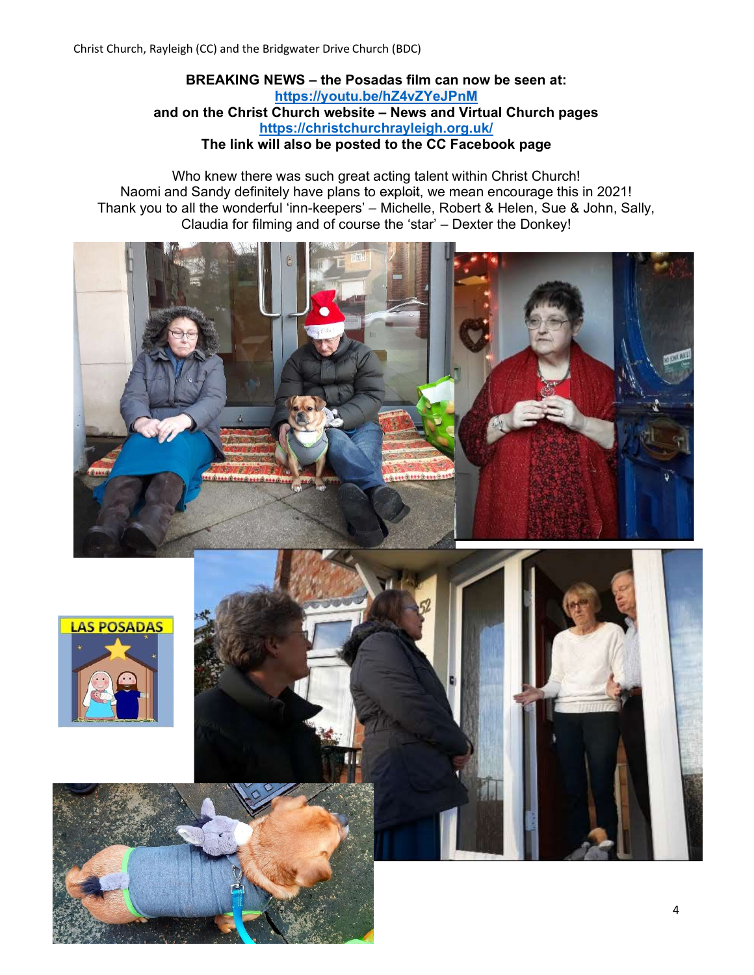BREAKING NEWS – the Posadas film can now be seen at: https://youtu.be/hZ4vZYeJPnM and on the Christ Church website – News and Virtual Church pages https://christchurchrayleigh.org.uk/ The link will also be posted to the CC Facebook page

Who knew there was such great acting talent within Christ Church! Naomi and Sandy definitely have plans to exploit, we mean encourage this in 2021! Thank you to all the wonderful 'inn-keepers' – Michelle, Robert & Helen, Sue & John, Sally, Claudia for filming and of course the 'star' – Dexter the Donkey!